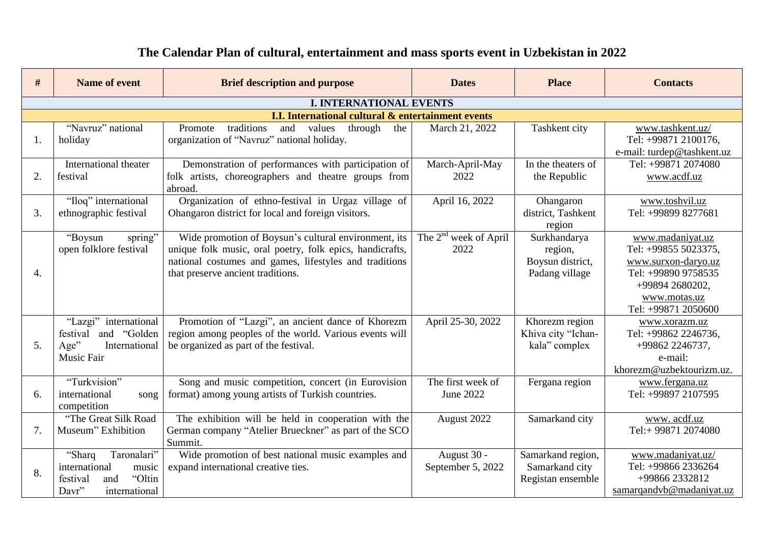| #                | Name of event                                                                                          | <b>Brief description and purpose</b>                                                                                                                                                                            | <b>Dates</b>                     | <b>Place</b>                                                  | <b>Contacts</b>                                                                                                                                  |
|------------------|--------------------------------------------------------------------------------------------------------|-----------------------------------------------------------------------------------------------------------------------------------------------------------------------------------------------------------------|----------------------------------|---------------------------------------------------------------|--------------------------------------------------------------------------------------------------------------------------------------------------|
|                  |                                                                                                        | <b>I. INTERNATIONAL EVENTS</b>                                                                                                                                                                                  |                                  |                                                               |                                                                                                                                                  |
|                  |                                                                                                        | <b>I.I. International cultural &amp; entertainment events</b>                                                                                                                                                   |                                  |                                                               |                                                                                                                                                  |
| 1.               | "Navruz" national<br>holiday                                                                           | traditions<br>Promote<br>and<br>through<br>values<br>the<br>organization of "Navruz" national holiday.                                                                                                          | March 21, 2022                   | Tashkent city                                                 | www.tashkent.uz/<br>Tel: +99871 2100176,<br>e-mail: turdep@tashkent.uz                                                                           |
| 2.               | International theater<br>festival                                                                      | Demonstration of performances with participation of<br>folk artists, choreographers and theatre groups from<br>abroad.                                                                                          | March-April-May<br>2022          | In the theaters of<br>the Republic                            | Tel: +99871 2074080<br>www.acdf.uz                                                                                                               |
| 3.               | "Iloq" international<br>ethnographic festival                                                          | Organization of ethno-festival in Urgaz village of<br>Ohangaron district for local and foreign visitors.                                                                                                        | April 16, 2022                   | Ohangaron<br>district, Tashkent<br>region                     | www.toshvil.uz<br>Tel: +99899 8277681                                                                                                            |
| $\overline{4}$ . | spring"<br>"Boysun<br>open folklore festival                                                           | Wide promotion of Boysun's cultural environment, its<br>unique folk music, oral poetry, folk epics, handicrafts,<br>national costumes and games, lifestyles and traditions<br>that preserve ancient traditions. | The $2nd$ week of April<br>2022  | Surkhandarya<br>region,<br>Boysun district,<br>Padang village | www.madaniyat.uz<br>Tel: +99855 5023375,<br>www.surxon-daryo.uz<br>Tel: +99890 9758535<br>+99894 2680202,<br>www.motas.uz<br>Tel: +99871 2050600 |
| 5.               | "Lazgi" international<br>and "Golden<br>festival<br>Age"<br>International<br><b>Music Fair</b>         | Promotion of "Lazgi", an ancient dance of Khorezm<br>region among peoples of the world. Various events will<br>be organized as part of the festival.                                                            | April 25-30, 2022                | Khorezm region<br>Khiva city "Ichan-<br>kala" complex         | www.xorazm.uz<br>Tel: +99862 2246736,<br>+99862 2246737,<br>e-mail:<br>khorezm@uzbektourizm.uz.                                                  |
| 6.               | "Turkvision"<br>international<br>song<br>competition                                                   | Song and music competition, concert (in Eurovision<br>format) among young artists of Turkish countries.                                                                                                         | The first week of<br>June 2022   | Fergana region                                                | www.fergana.uz<br>Tel: +99897 2107595                                                                                                            |
| 7.               | "The Great Silk Road<br>Museum" Exhibition                                                             | The exhibition will be held in cooperation with the<br>German company "Atelier Brueckner" as part of the SCO<br>Summit.                                                                                         | August 2022                      | Samarkand city                                                | www.acdf.uz<br>Tel:+ 99871 2074080                                                                                                               |
| 8.               | Taronalari"<br>"Sharq<br>international<br>music<br>"Oltin<br>festival<br>and<br>international<br>Davr" | Wide promotion of best national music examples and<br>expand international creative ties.                                                                                                                       | August 30 -<br>September 5, 2022 | Samarkand region,<br>Samarkand city<br>Registan ensemble      | www.madaniyat.uz/<br>Tel: +99866 2336264<br>+99866 2332812<br>samarqandvb@madaniyat.uz                                                           |

## **The Calendar Plan of cultural, entertainment and mass sports event in Uzbekistan in 2022**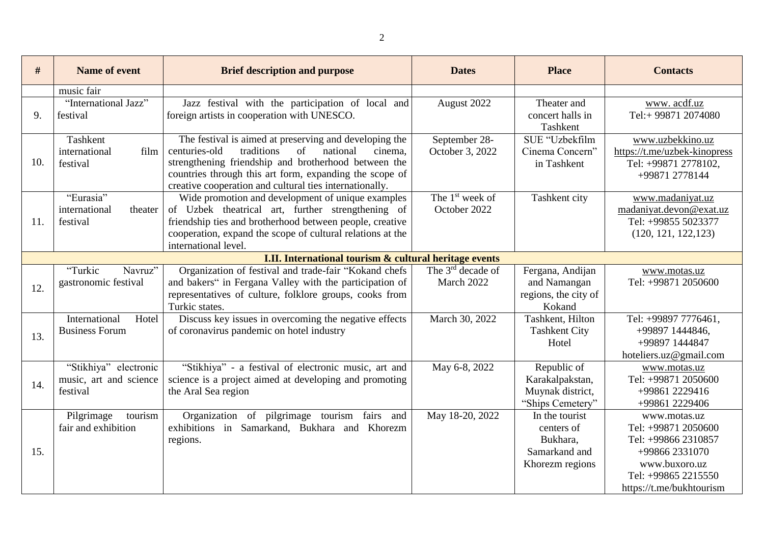| #   | Name of event                                               | <b>Brief description and purpose</b>                                                                                                                                                                                                                                                             | <b>Dates</b>                                | <b>Place</b>                                                                 | <b>Contacts</b>                                                                                                                                  |
|-----|-------------------------------------------------------------|--------------------------------------------------------------------------------------------------------------------------------------------------------------------------------------------------------------------------------------------------------------------------------------------------|---------------------------------------------|------------------------------------------------------------------------------|--------------------------------------------------------------------------------------------------------------------------------------------------|
|     | music fair                                                  |                                                                                                                                                                                                                                                                                                  |                                             |                                                                              |                                                                                                                                                  |
| 9.  | "International Jazz"<br>festival                            | Jazz festival with the participation of local and<br>foreign artists in cooperation with UNESCO.                                                                                                                                                                                                 | August 2022                                 | Theater and<br>concert halls in<br>Tashkent                                  | www.acdf.uz<br>Tel:+99871 2074080                                                                                                                |
| 10. | Tashkent<br>international<br>film<br>festival               | The festival is aimed at preserving and developing the<br>traditions<br>of<br>centuries-old<br>national<br>cinema.<br>strengthening friendship and brotherhood between the<br>countries through this art form, expanding the scope of<br>creative cooperation and cultural ties internationally. | September 28-<br>October 3, 2022            | SUE "Uzbekfilm<br>Cinema Concern"<br>in Tashkent                             | www.uzbekkino.uz<br>https://t.me/uzbek-kinopress<br>Tel: +99871 2778102,<br>+99871 2778144                                                       |
| 11. | "Eurasia"<br>international<br>theater<br>festival           | Wide promotion and development of unique examples<br>of Uzbek theatrical art, further strengthening of<br>friendship ties and brotherhood between people, creative<br>cooperation, expand the scope of cultural relations at the<br>international level.                                         | The 1 <sup>st</sup> week of<br>October 2022 | Tashkent city                                                                | www.madaniyat.uz<br>madaniyat.devon@exat.uz<br>Tel: +99855 5023377<br>(120, 121, 122, 123)                                                       |
|     |                                                             | <b>I.II. International tourism &amp; cultural heritage events</b>                                                                                                                                                                                                                                |                                             |                                                                              |                                                                                                                                                  |
| 12. | "Turkic<br>Navruz"<br>gastronomic festival                  | Organization of festival and trade-fair "Kokand chefs<br>and bakers" in Fergana Valley with the participation of<br>representatives of culture, folklore groups, cooks from<br>Turkic states.                                                                                                    | The $3rd$ decade of<br>March 2022           | Fergana, Andijan<br>and Namangan<br>regions, the city of<br>Kokand           | www.motas.uz<br>Tel: +99871 2050600                                                                                                              |
| 13. | Hotel<br>International<br><b>Business Forum</b>             | Discuss key issues in overcoming the negative effects<br>of coronavirus pandemic on hotel industry                                                                                                                                                                                               | March 30, 2022                              | Tashkent, Hilton<br><b>Tashkent City</b><br>Hotel                            | Tel: +99897 7776461,<br>+99897 1444846,<br>+99897 1444847<br>hoteliers.uz@gmail.com                                                              |
| 14. | "Stikhiya" electronic<br>music, art and science<br>festival | "Stikhiya" - a festival of electronic music, art and<br>science is a project aimed at developing and promoting<br>the Aral Sea region                                                                                                                                                            | May 6-8, 2022                               | Republic of<br>Karakalpakstan,<br>Muynak district,<br>"Ships Cemetery"       | www.motas.uz<br>Tel: +99871 2050600<br>+99861 2229416<br>+99861 2229406                                                                          |
| 15. | Pilgrimage<br>tourism<br>fair and exhibition                | Organization of pilgrimage tourism fairs and<br>exhibitions in Samarkand, Bukhara and Khorezm<br>regions.                                                                                                                                                                                        | May 18-20, 2022                             | In the tourist<br>centers of<br>Bukhara,<br>Samarkand and<br>Khorezm regions | www.motas.uz<br>Tel: +99871 2050600<br>Tel: +99866 2310857<br>+99866 2331070<br>www.buxoro.uz<br>Tel: +99865 2215550<br>https://t.me/bukhtourism |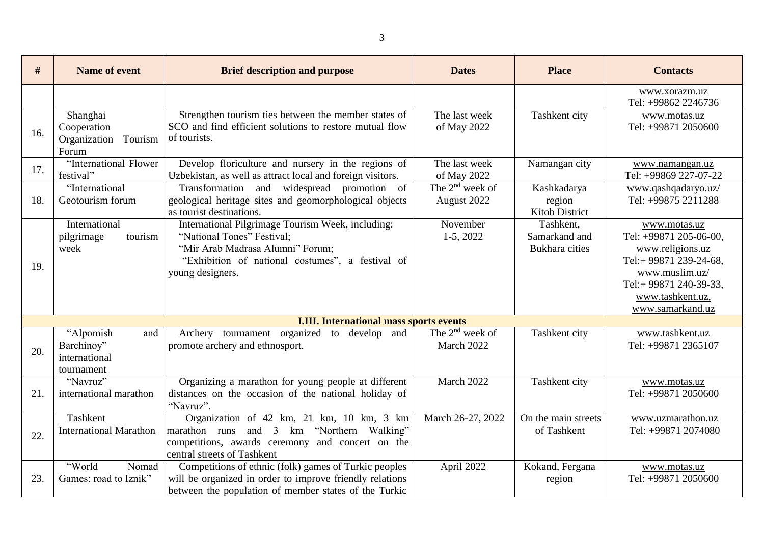| #   | <b>Name of event</b>                                          | <b>Brief description and purpose</b>                                                                                                                                                        | <b>Dates</b>                        | <b>Place</b>                                        | <b>Contacts</b>                                                                                                                                                        |
|-----|---------------------------------------------------------------|---------------------------------------------------------------------------------------------------------------------------------------------------------------------------------------------|-------------------------------------|-----------------------------------------------------|------------------------------------------------------------------------------------------------------------------------------------------------------------------------|
|     |                                                               |                                                                                                                                                                                             |                                     |                                                     | www.xorazm.uz<br>Tel: +99862 2246736                                                                                                                                   |
| 16. | Shanghai<br>Cooperation<br>Organization<br>Tourism<br>Forum   | Strengthen tourism ties between the member states of<br>SCO and find efficient solutions to restore mutual flow<br>of tourists.                                                             | The last week<br>of May 2022        | Tashkent city                                       | www.motas.uz<br>Tel: +99871 2050600                                                                                                                                    |
| 17. | "International Flower<br>festival"                            | Develop floriculture and nursery in the regions of<br>Uzbekistan, as well as attract local and foreign visitors.                                                                            | The last week<br>of May 2022        | Namangan city                                       | www.namangan.uz<br>Tel: +99869 227-07-22                                                                                                                               |
| 18. | "International<br>Geotourism forum                            | Transformation and widespread<br>promotion<br>of<br>geological heritage sites and geomorphological objects<br>as tourist destinations.                                                      | The $2^{nd}$ week of<br>August 2022 | Kashkadarya<br>region<br>Kitob District             | www.qashqadaryo.uz/<br>Tel: +99875 2211288                                                                                                                             |
| 19. | International<br>pilgrimage<br>tourism<br>week                | International Pilgrimage Tourism Week, including:<br>"National Tones" Festival;<br>"Mir Arab Madrasa Alumni" Forum;<br>"Exhibition of national costumes", a festival of<br>young designers. | November<br>$1-5, 2022$             | Tashkent,<br>Samarkand and<br><b>Bukhara</b> cities | www.motas.uz<br>Tel: +99871 205-06-00,<br>www.religions.uz<br>Tel:+99871 239-24-68,<br>www.muslim.uz/<br>Tel:+99871 240-39-33,<br>www.tashkent.uz,<br>www.samarkand.uz |
|     |                                                               | <b>I.III. International mass sports events</b>                                                                                                                                              |                                     |                                                     |                                                                                                                                                                        |
| 20. | "Alpomish<br>and<br>Barchinoy"<br>international<br>tournament | Archery tournament organized<br>to develop and<br>promote archery and ethnosport.                                                                                                           | The $2nd$ week of<br>March 2022     | Tashkent city                                       | www.tashkent.uz<br>Tel: +99871 2365107                                                                                                                                 |
| 21. | "Navruz"<br>international marathon                            | Organizing a marathon for young people at different<br>distances on the occasion of the national holiday of<br>"Navruz".                                                                    | March 2022                          | Tashkent city                                       | www.motas.uz<br>Tel: +99871 2050600                                                                                                                                    |
| 22. | Tashkent<br><b>International Marathon</b>                     | Organization of 42 km, 21 km, 10 km, 3 km<br>marathon runs and 3 km "Northern Walking"<br>competitions, awards ceremony and concert on the<br>central streets of Tashkent                   | March 26-27, 2022                   | On the main streets<br>of Tashkent                  | www.uzmarathon.uz<br>Tel: +99871 2074080                                                                                                                               |
| 23. | "World<br>Nomad<br>Games: road to Iznik"                      | Competitions of ethnic (folk) games of Turkic peoples<br>will be organized in order to improve friendly relations<br>between the population of member states of the Turkic                  | April 2022                          | Kokand, Fergana<br>region                           | www.motas.uz<br>Tel: +99871 2050600                                                                                                                                    |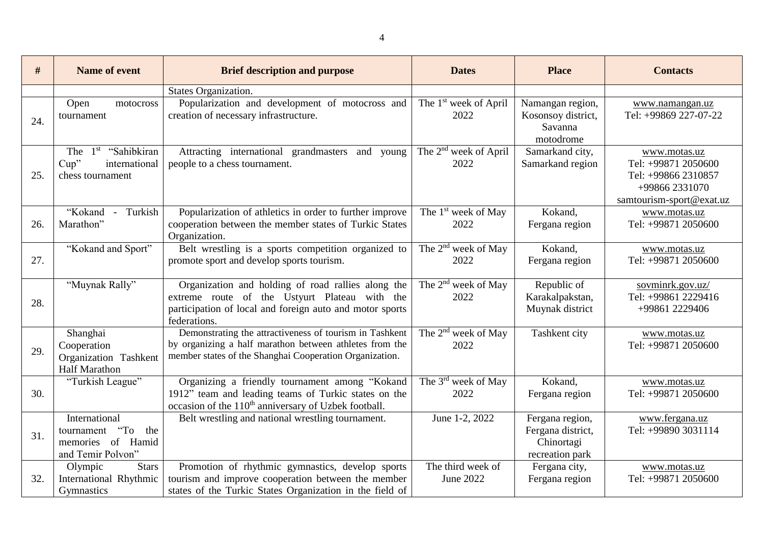| #   | Name of event                                                                                                  | <b>Brief description and purpose</b>                                                                                                                                            | <b>Dates</b>                              | <b>Place</b>                                                          | <b>Contacts</b>                                                                                          |
|-----|----------------------------------------------------------------------------------------------------------------|---------------------------------------------------------------------------------------------------------------------------------------------------------------------------------|-------------------------------------------|-----------------------------------------------------------------------|----------------------------------------------------------------------------------------------------------|
|     |                                                                                                                | States Organization.                                                                                                                                                            |                                           |                                                                       |                                                                                                          |
| 24. | Open<br>motocross<br>tournament                                                                                | Popularization and development of motocross and<br>creation of necessary infrastructure.                                                                                        | The 1 <sup>st</sup> week of April<br>2022 | Namangan region,<br>Kosonsoy district,<br>Savanna<br>motodrome        | www.namangan.uz<br>Tel: +99869 227-07-22                                                                 |
| 25. | The 1 <sup>st</sup> "Sahibkiran"<br>international<br>Cup<br>chess tournament                                   | Attracting international grandmasters and young<br>people to a chess tournament.                                                                                                | The 2 <sup>nd</sup> week of April<br>2022 | Samarkand city,<br>Samarkand region                                   | www.motas.uz<br>Tel: +99871 2050600<br>Tel: +99866 2310857<br>+99866 2331070<br>samtourism-sport@exat.uz |
| 26. | "Kokand<br>Turkish<br>$\sim$<br>Marathon"                                                                      | Popularization of athletics in order to further improve<br>cooperation between the member states of Turkic States<br>Organization.                                              | The 1 <sup>st</sup> week of May<br>2022   | Kokand,<br>Fergana region                                             | www.motas.uz<br>Tel: +99871 2050600                                                                      |
| 27. | "Kokand and Sport"                                                                                             | Belt wrestling is a sports competition organized to<br>promote sport and develop sports tourism.                                                                                | The 2 <sup>nd</sup> week of May<br>2022   | Kokand,<br>Fergana region                                             | www.motas.uz<br>Tel: +99871 2050600                                                                      |
| 28. | "Muynak Rally"                                                                                                 | Organization and holding of road rallies along the<br>extreme route of the Ustyurt Plateau with the<br>participation of local and foreign auto and motor sports<br>federations. | The $2nd$ week of May<br>2022             | Republic of<br>Karakalpakstan,<br>Muynak district                     | sovminrk.gov.uz/<br>Tel: +99861 2229416<br>+99861 2229406                                                |
| 29. | Shanghai<br>Cooperation<br>Organization Tashkent<br><b>Half Marathon</b>                                       | Demonstrating the attractiveness of tourism in Tashkent<br>by organizing a half marathon between athletes from the<br>member states of the Shanghai Cooperation Organization.   | The 2 <sup>nd</sup> week of May<br>2022   | Tashkent city                                                         | www.motas.uz<br>Tel: +99871 2050600                                                                      |
| 30. | "Turkish League"                                                                                               | Organizing a friendly tournament among "Kokand<br>1912" team and leading teams of Turkic states on the<br>occasion of the 110 <sup>th</sup> anniversary of Uzbek football.      | The 3 <sup>rd</sup> week of May<br>2022   | Kokand,<br>Fergana region                                             | www.motas.uz<br>Tel: +99871 2050600                                                                      |
| 31. | International<br>$\rm\thinspace G$ <sup>*</sup><br>tournament<br>the<br>memories of Hamid<br>and Temir Polvon" | Belt wrestling and national wrestling tournament.                                                                                                                               | June 1-2, 2022                            | Fergana region,<br>Fergana district,<br>Chinortagi<br>recreation park | www.fergana.uz<br>Tel: +99890 3031114                                                                    |
| 32. | Olympic<br><b>Stars</b><br>International Rhythmic<br>Gymnastics                                                | Promotion of rhythmic gymnastics, develop sports<br>tourism and improve cooperation between the member<br>states of the Turkic States Organization in the field of              | The third week of<br>June 2022            | Fergana city,<br>Fergana region                                       | www.motas.uz<br>Tel: +99871 2050600                                                                      |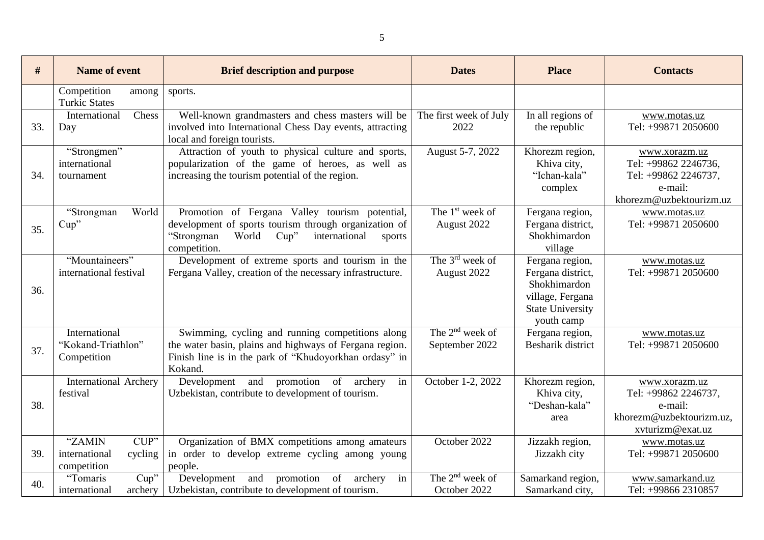| #   | Name of event                                             | <b>Brief description and purpose</b>                                                                                                                                               | <b>Dates</b>                           | <b>Place</b>                                                                                                      | <b>Contacts</b>                                                                                     |
|-----|-----------------------------------------------------------|------------------------------------------------------------------------------------------------------------------------------------------------------------------------------------|----------------------------------------|-------------------------------------------------------------------------------------------------------------------|-----------------------------------------------------------------------------------------------------|
|     | Competition<br>among<br><b>Turkic States</b>              | sports.                                                                                                                                                                            |                                        |                                                                                                                   |                                                                                                     |
| 33. | Chess<br>International<br>Day                             | Well-known grandmasters and chess masters will be<br>involved into International Chess Day events, attracting<br>local and foreign tourists.                                       | The first week of July<br>2022         | In all regions of<br>the republic                                                                                 | www.motas.uz<br>Tel: +99871 2050600                                                                 |
| 34. | "Strongmen"<br>international<br>tournament                | Attraction of youth to physical culture and sports,<br>popularization of the game of heroes, as well as<br>increasing the tourism potential of the region.                         | August 5-7, 2022                       | Khorezm region,<br>Khiva city,<br>"Ichan-kala"<br>complex                                                         | www.xorazm.uz<br>Tel: +99862 2246736,<br>Tel: +99862 2246737,<br>e-mail:<br>khorezm@uzbektourizm.uz |
| 35. | "Strongman<br>World<br>Cup''                              | Promotion of Fergana Valley tourism potential,<br>development of sports tourism through organization of<br>"Strongman<br>World<br>Cup''<br>international<br>sports<br>competition. | The $1st$ week of<br>August 2022       | Fergana region,<br>Fergana district,<br>Shokhimardon<br>village                                                   | www.motas.uz<br>Tel: +99871 2050600                                                                 |
| 36. | "Mountaineers"<br>international festival                  | Development of extreme sports and tourism in the<br>Fergana Valley, creation of the necessary infrastructure.                                                                      | The $3rd$ week of<br>August 2022       | Fergana region,<br>Fergana district,<br>Shokhimardon<br>village, Fergana<br><b>State University</b><br>youth camp | www.motas.uz<br>Tel: +99871 2050600                                                                 |
| 37. | International<br>"Kokand-Triathlon"<br>Competition        | Swimming, cycling and running competitions along<br>the water basin, plains and highways of Fergana region.<br>Finish line is in the park of "Khudoyorkhan ordasy" in<br>Kokand.   | The $2^{nd}$ week of<br>September 2022 | Fergana region,<br><b>Besharik</b> district                                                                       | www.motas.uz<br>Tel: +99871 2050600                                                                 |
| 38. | <b>International Archery</b><br>festival                  | Development and<br>promotion of archery<br>in<br>Uzbekistan, contribute to development of tourism.                                                                                 | October 1-2, 2022                      | Khorezm region,<br>Khiva city,<br>"Deshan-kala"<br>area                                                           | www.xorazm.uz<br>Tel: +99862 2246737,<br>e-mail:<br>khorezm@uzbektourizm.uz,<br>xvturizm@exat.uz    |
| 39. | "ZAMIN<br>CUP"<br>international<br>cycling<br>competition | Organization of BMX competitions among amateurs<br>in order to develop extreme cycling among young<br>people.                                                                      | October 2022                           | Jizzakh region,<br>Jizzakh city                                                                                   | www.motas.uz<br>Tel: +99871 2050600                                                                 |
| 40. | Cup''<br>"Tomaris"<br>international<br>archery            | and<br>promotion<br>of<br>in<br>Development<br>archery<br>Uzbekistan, contribute to development of tourism.                                                                        | The $2^{nd}$ week of<br>October 2022   | Samarkand region,<br>Samarkand city,                                                                              | www.samarkand.uz<br>Tel: +99866 2310857                                                             |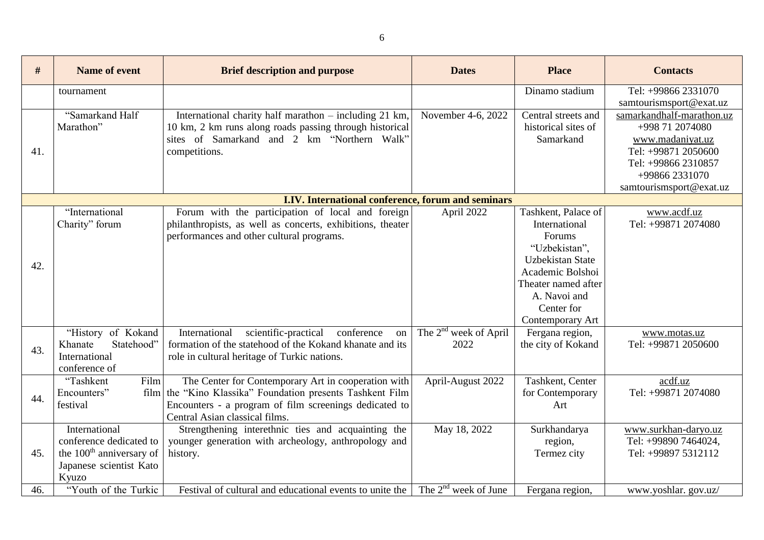| #                               | <b>Name of event</b>                 | <b>Brief description and purpose</b>                                                     | <b>Dates</b>                      | <b>Place</b>            | <b>Contacts</b>                       |
|---------------------------------|--------------------------------------|------------------------------------------------------------------------------------------|-----------------------------------|-------------------------|---------------------------------------|
|                                 | tournament                           |                                                                                          |                                   | Dinamo stadium          | Tel: +99866 2331070                   |
|                                 |                                      |                                                                                          |                                   |                         | samtourismsport@exat.uz               |
|                                 | "Samarkand Half                      | International charity half marathon - including 21 km,                                   | November 4-6, 2022                | Central streets and     | samarkandhalf-marathon.uz             |
|                                 | Marathon"                            | 10 km, 2 km runs along roads passing through historical                                  |                                   | historical sites of     | +998 71 2074080                       |
|                                 |                                      | sites of Samarkand and 2 km "Northern Walk"                                              |                                   | Samarkand               | www.madaniyat.uz                      |
|                                 |                                      | competitions.                                                                            |                                   |                         | Tel: +99871 2050600                   |
|                                 |                                      |                                                                                          |                                   |                         | Tel: +99866 2310857<br>+99866 2331070 |
|                                 |                                      |                                                                                          |                                   |                         | samtourismsport@exat.uz               |
|                                 |                                      | I.IV. International conference, forum and seminars                                       |                                   |                         |                                       |
|                                 | "International                       | Forum with the participation of local and foreign                                        | April 2022                        | Tashkent, Palace of     | www.acdf.uz                           |
|                                 | Charity" forum                       | philanthropists, as well as concerts, exhibitions, theater                               |                                   | International           | Tel: +99871 2074080                   |
|                                 |                                      | performances and other cultural programs.                                                |                                   | Forums                  |                                       |
|                                 |                                      |                                                                                          |                                   | "Uzbekistan",           |                                       |
|                                 |                                      |                                                                                          |                                   | <b>Uzbekistan State</b> |                                       |
|                                 |                                      |                                                                                          |                                   | Academic Bolshoi        |                                       |
|                                 |                                      |                                                                                          |                                   | Theater named after     |                                       |
|                                 |                                      |                                                                                          |                                   | A. Navoi and            |                                       |
|                                 |                                      |                                                                                          |                                   | Center for              |                                       |
|                                 |                                      |                                                                                          |                                   | Contemporary Art        |                                       |
|                                 | "History of Kokand                   | International<br>scientific-practical<br>conference<br>on                                | The 2 <sup>nd</sup> week of April | Fergana region,         | www.motas.uz                          |
|                                 | Statehood"<br>Khanate                | formation of the statehood of the Kokand khanate and its                                 | 2022                              | the city of Kokand      | Tel: +99871 2050600                   |
|                                 | International                        | role in cultural heritage of Turkic nations.                                             |                                   |                         |                                       |
|                                 | conference of                        |                                                                                          |                                   |                         |                                       |
|                                 | "Tashkent<br>Film                    | The Center for Contemporary Art in cooperation with                                      | April-August 2022                 | Tashkent, Center        | acdf.uz                               |
| 44.                             | Encounters"<br>festival              | film the "Kino Klassika" Foundation presents Tashkent Film                               |                                   | for Contemporary<br>Art | Tel: +99871 2074080                   |
|                                 |                                      | Encounters - a program of film screenings dedicated to<br>Central Asian classical films. |                                   |                         |                                       |
|                                 | International                        | Strengthening interethnic ties and acquainting the                                       | May 18, 2022                      | Surkhandarya            | www.surkhan-daryo.uz                  |
|                                 | conference dedicated to              | younger generation with archeology, anthropology and                                     |                                   | region,                 | Tel: +99890 7464024,                  |
|                                 | the 100 <sup>th</sup> anniversary of | history.                                                                                 |                                   | Termez city             | Tel: +99897 5312112                   |
| 41.<br>42.<br>43.<br>45.<br>46. | Japanese scientist Kato              |                                                                                          |                                   |                         |                                       |
|                                 | Kyuzo                                |                                                                                          |                                   |                         |                                       |
|                                 | "Youth of the Turkic                 | Festival of cultural and educational events to unite the                                 | The 2 <sup>nd</sup> week of June  | Fergana region,         | www.yoshlar.gov.uz/                   |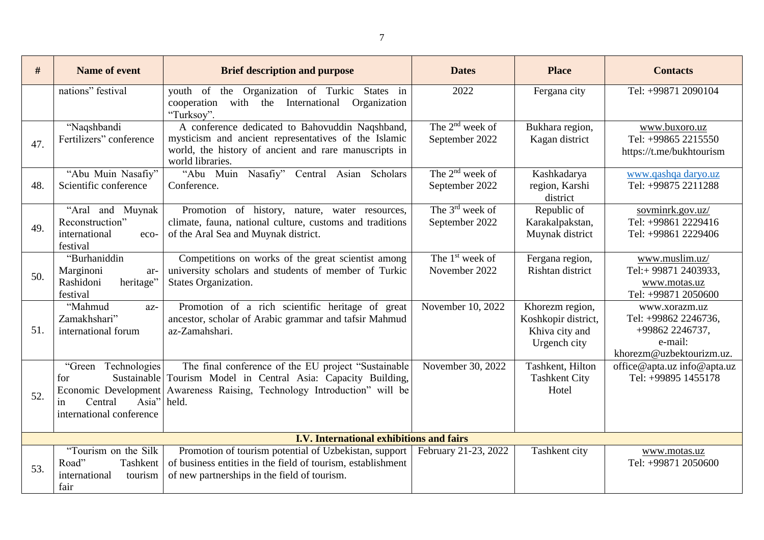| #   | <b>Name of event</b>                                                             | <b>Brief description and purpose</b>                                                                                                                                                                       | <b>Dates</b>                                  | <b>Place</b>                                                             | <b>Contacts</b>                                                                                 |
|-----|----------------------------------------------------------------------------------|------------------------------------------------------------------------------------------------------------------------------------------------------------------------------------------------------------|-----------------------------------------------|--------------------------------------------------------------------------|-------------------------------------------------------------------------------------------------|
|     | nations" festival                                                                | youth of the Organization of Turkic States in<br>cooperation with the International<br>Organization<br>"Turksoy".                                                                                          | 2022                                          | Fergana city                                                             | Tel: +99871 2090104                                                                             |
| 47. | "Naqshbandi<br>Fertilizers" conference                                           | A conference dedicated to Bahovuddin Naqshband,<br>mysticism and ancient representatives of the Islamic<br>world, the history of ancient and rare manuscripts in<br>world libraries.                       | The $2nd$ week of<br>September 2022           | Bukhara region,<br>Kagan district                                        | www.buxoro.uz<br>Tel: +99865 2215550<br>https://t.me/bukhtourism                                |
| 48. | "Abu Muin Nasafiy"<br>Scientific conference                                      | "Abu Muin Nasafiy"<br>Asian Scholars<br>Central<br>Conference.                                                                                                                                             | The $2^{nd}$ week of<br>September 2022        | Kashkadarya<br>region, Karshi<br>district                                | www.qashqa daryo.uz<br>Tel: +99875 2211288                                                      |
| 49. | "Aral and Muynak<br>Reconstruction"<br>international<br>eco-<br>festival         | Promotion of history, nature, water resources,<br>climate, fauna, national culture, customs and traditions<br>of the Aral Sea and Muynak district.                                                         | The $3^{\text{rd}}$ week of<br>September 2022 | Republic of<br>Karakalpakstan,<br>Muynak district                        | sovminrk.gov.uz/<br>Tel: +99861 2229416<br>Tel: +99861 2229406                                  |
| 50. | "Burhaniddin<br>Marginoni<br>ar-<br>Rashidoni<br>heritage"<br>festival           | Competitions on works of the great scientist among<br>university scholars and students of member of Turkic<br>States Organization.                                                                         | The $1st$ week of<br>November 2022            | Fergana region,<br>Rishtan district                                      | www.muslim.uz/<br>Tel:+99871 2403933,<br>www.motas.uz<br>Tel: +99871 2050600                    |
| 51. | "Mahmud<br>az-<br>Zamakhshari"<br>international forum                            | Promotion of a rich scientific heritage of great<br>ancestor, scholar of Arabic grammar and tafsir Mahmud<br>az-Zamahshari.                                                                                | November 10, 2022                             | Khorezm region,<br>Koshkopir district,<br>Khiva city and<br>Urgench city | www.xorazm.uz<br>Tel: +99862 2246736,<br>+99862 2246737,<br>e-mail:<br>khorezm@uzbektourizm.uz. |
| 52. | "Green Technologies<br>for<br>Asia"<br>Central<br>in<br>international conference | The final conference of the EU project "Sustainable"<br>Sustainable Tourism Model in Central Asia: Capacity Building,<br>Economic Development Awareness Raising, Technology Introduction" will be<br>held. | November 30, 2022                             | Tashkent, Hilton<br><b>Tashkent City</b><br>Hotel                        | office@apta.uz info@apta.uz<br>Tel: +99895 1455178                                              |
|     |                                                                                  | I.V. International exhibitions and fairs                                                                                                                                                                   |                                               |                                                                          |                                                                                                 |
| 53. | "Tourism on the Silk<br>Road"<br>Tashkent<br>international<br>tourism<br>fair    | Promotion of tourism potential of Uzbekistan, support<br>of business entities in the field of tourism, establishment<br>of new partnerships in the field of tourism.                                       | February 21-23, 2022                          | Tashkent city                                                            | www.motas.uz<br>Tel: +99871 2050600                                                             |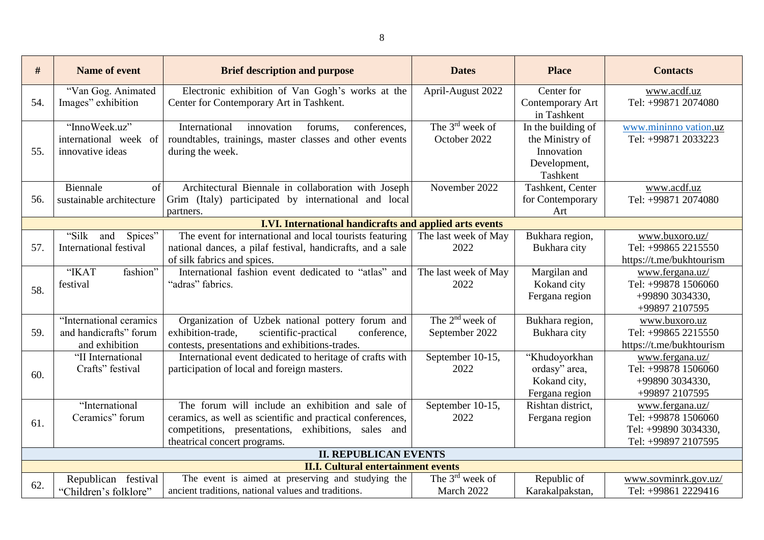| #   | <b>Name of event</b>              | <b>Brief description and purpose</b>                                                                     | <b>Dates</b>                | <b>Place</b>       | <b>Contacts</b>                             |
|-----|-----------------------------------|----------------------------------------------------------------------------------------------------------|-----------------------------|--------------------|---------------------------------------------|
|     | "Van Gog. Animated                | Electronic exhibition of Van Gogh's works at the                                                         | April-August 2022           | Center for         | www.acdf.uz                                 |
| 54. | Images" exhibition                | Center for Contemporary Art in Tashkent.                                                                 |                             | Contemporary Art   | Tel: +99871 2074080                         |
|     |                                   |                                                                                                          |                             | in Tashkent        |                                             |
|     | "InnoWeek.uz"                     | International<br>innovation<br>conferences,<br>forums,                                                   | The $3^{\text{rd}}$ week of | In the building of | www.mininno vation.uz                       |
|     | international week of             | roundtables, trainings, master classes and other events                                                  | October 2022                | the Ministry of    | Tel: +99871 2033223                         |
| 55. | innovative ideas                  | during the week.                                                                                         |                             | Innovation         |                                             |
|     |                                   |                                                                                                          |                             | Development,       |                                             |
|     |                                   |                                                                                                          |                             | Tashkent           |                                             |
|     | Biennale<br>of                    | Architectural Biennale in collaboration with Joseph                                                      | November 2022               | Tashkent, Center   | www.acdf.uz                                 |
| 56. | sustainable architecture          | Grim (Italy) participated by international and local                                                     |                             | for Contemporary   | Tel: +99871 2074080                         |
|     |                                   | partners.                                                                                                |                             | Art                |                                             |
|     |                                   | I.VI. International handicrafts and applied arts events                                                  |                             |                    |                                             |
|     | "Silk<br>Spices"<br>and           | The event for international and local tourists featuring                                                 | The last week of May        | Bukhara region,    | www.buxoro.uz/                              |
| 57. | International festival            | national dances, a pilaf festival, handicrafts, and a sale                                               | 2022                        | Bukhara city       | Tel: +99865 2215550                         |
|     |                                   | of silk fabrics and spices.                                                                              |                             |                    | https://t.me/bukhtourism                    |
|     | "IKAT<br>fashion"                 | International fashion event dedicated to "atlas" and                                                     | The last week of May        | Margilan and       | www.fergana.uz/                             |
| 58. | festival                          | "adras" fabrics.                                                                                         | 2022                        | Kokand city        | Tel: +99878 1506060                         |
|     |                                   |                                                                                                          |                             | Fergana region     | +99890 3034330,                             |
|     |                                   |                                                                                                          |                             |                    | +99897 2107595                              |
|     | "International ceramics           | Organization of Uzbek national pottery forum and                                                         | The $2nd$ week of           | Bukhara region,    | www.buxoro.uz                               |
| 59. | and handicrafts" forum            | exhibition-trade,<br>scientific-practical<br>conference,                                                 | September 2022              | Bukhara city       | Tel: +99865 2215550                         |
|     | and exhibition                    | contests, presentations and exhibitions-trades.                                                          |                             |                    | https://t.me/bukhtourism                    |
|     | "II International                 | International event dedicated to heritage of crafts with                                                 | September 10-15,            | "Khudoyorkhan      | www.fergana.uz/                             |
| 60. | Crafts" festival                  | participation of local and foreign masters.                                                              | 2022                        | ordasy" area,      | Tel: +99878 1506060                         |
|     |                                   |                                                                                                          |                             | Kokand city,       | +99890 3034330,                             |
|     |                                   |                                                                                                          |                             | Fergana region     | +99897 2107595                              |
|     | "International<br>Ceramics" forum | The forum will include an exhibition and sale of                                                         | September 10-15,            | Rishtan district,  | www.fergana.uz/                             |
| 61. |                                   | ceramics, as well as scientific and practical conferences,                                               | 2022                        | Fergana region     | Tel: +99878 1506060                         |
|     |                                   | competitions, presentations, exhibitions, sales and                                                      |                             |                    | Tel: +99890 3034330,<br>Tel: +99897 2107595 |
|     |                                   | theatrical concert programs.<br><b>II. REPUBLICAN EVENTS</b>                                             |                             |                    |                                             |
|     |                                   |                                                                                                          |                             |                    |                                             |
|     |                                   | <b>II.I. Cultural entertainment events</b>                                                               | The $3rd$ week of           |                    |                                             |
| 62. | Republican festival               | The event is aimed at preserving and studying the<br>ancient traditions, national values and traditions. | March 2022                  | Republic of        | www.sovminrk.gov.uz/<br>Tel: +99861 2229416 |
|     | "Children's folklore"             |                                                                                                          |                             | Karakalpakstan,    |                                             |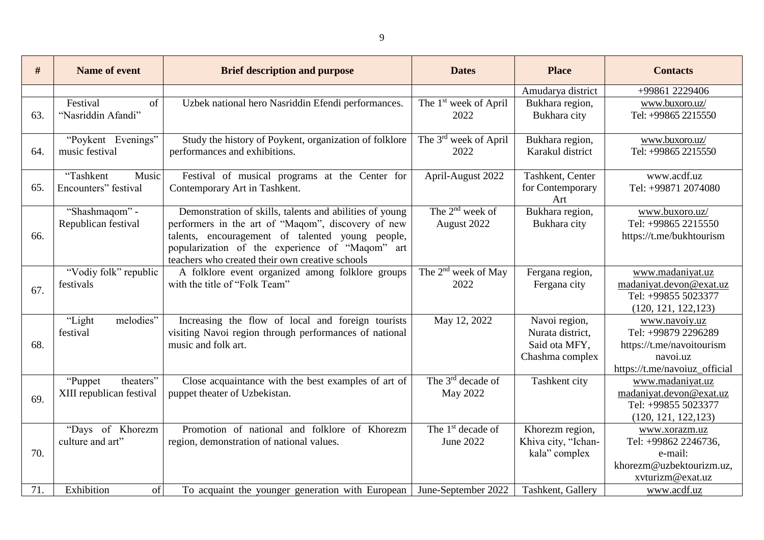| #   | <b>Name of event</b>                              | <b>Brief description and purpose</b>                                                                                                                                                                                                                                    | <b>Dates</b>                              | <b>Place</b>                                                          | <b>Contacts</b>                                                                                                |
|-----|---------------------------------------------------|-------------------------------------------------------------------------------------------------------------------------------------------------------------------------------------------------------------------------------------------------------------------------|-------------------------------------------|-----------------------------------------------------------------------|----------------------------------------------------------------------------------------------------------------|
|     |                                                   |                                                                                                                                                                                                                                                                         |                                           | Amudarya district                                                     | +99861 2229406                                                                                                 |
| 63. | Festival<br>of<br>"Nasriddin Afandi"              | Uzbek national hero Nasriddin Efendi performances.                                                                                                                                                                                                                      | The 1 <sup>st</sup> week of April<br>2022 | Bukhara region,<br>Bukhara city                                       | www.buxoro.uz/<br>Tel: +99865 2215550                                                                          |
| 64. | "Poykent Evenings"<br>music festival              | Study the history of Poykent, organization of folklore<br>performances and exhibitions.                                                                                                                                                                                 | The 3 <sup>rd</sup> week of April<br>2022 | Bukhara region,<br>Karakul district                                   | www.buxoro.uz/<br>Tel: +99865 2215550                                                                          |
| 65. | "Tashkent<br>Music<br>Encounters" festival        | Festival of musical programs at the Center for<br>Contemporary Art in Tashkent.                                                                                                                                                                                         | April-August 2022                         | Tashkent, Center<br>for Contemporary<br>Art                           | www.acdf.uz<br>Tel: +99871 2074080                                                                             |
| 66. | "Shashmaqom" -<br>Republican festival             | Demonstration of skills, talents and abilities of young<br>performers in the art of "Maqom", discovery of new<br>talents, encouragement of talented young people,<br>popularization of the experience of "Maqom" art<br>teachers who created their own creative schools | The $2^{nd}$ week of<br>August 2022       | Bukhara region,<br>Bukhara city                                       | www.buxoro.uz/<br>Tel: +99865 2215550<br>https://t.me/bukhtourism                                              |
| 67. | "Vodiy folk" republic<br>festivals                | A folklore event organized among folklore groups<br>with the title of "Folk Team"                                                                                                                                                                                       | The $2nd$ week of May<br>2022             | Fergana region,<br>Fergana city                                       | www.madaniyat.uz<br>madaniyat.devon@exat.uz<br>Tel: +99855 5023377<br>(120, 121, 122, 123)                     |
| 68. | melodies"<br>"Light<br>festival                   | Increasing the flow of local and foreign tourists<br>visiting Navoi region through performances of national<br>music and folk art.                                                                                                                                      | May 12, 2022                              | Navoi region,<br>Nurata district,<br>Said ota MFY,<br>Chashma complex | www.navoiy.uz<br>Tel: +99879 2296289<br>https://t.me/navoitourism<br>navoi.uz<br>https://t.me/navoiuz_official |
| 69. | theaters"<br>"Puppet"<br>XIII republican festival | Close acquaintance with the best examples of art of<br>puppet theater of Uzbekistan.                                                                                                                                                                                    | The $3rd$ decade of<br>May 2022           | Tashkent city                                                         | www.madaniyat.uz<br>madaniyat.devon@exat.uz<br>Tel: +99855 5023377<br>(120, 121, 122, 123)                     |
| 70. | "Days of Khorezm<br>culture and art"              | Promotion of national and folklore of Khorezm<br>region, demonstration of national values.                                                                                                                                                                              | The $1st$ decade of<br>June 2022          | Khorezm region,<br>Khiva city, "Ichan-<br>kala" complex               | www.xorazm.uz<br>Tel: +99862 2246736,<br>e-mail:<br>khorezm@uzbektourizm.uz,<br>xvturizm@exat.uz               |
| 71. | Exhibition<br>of                                  | To acquaint the younger generation with European                                                                                                                                                                                                                        | June-September 2022                       | Tashkent, Gallery                                                     | www.acdf.uz                                                                                                    |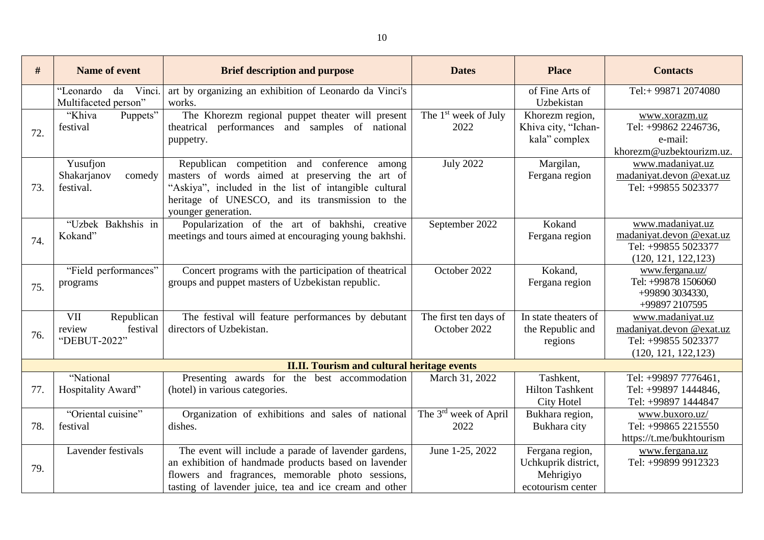| #   | <b>Name of event</b>                                    | <b>Brief description and purpose</b>                                                                                                                                                                                              | <b>Dates</b>                              | <b>Place</b>                                                             | <b>Contacts</b>                                                                             |
|-----|---------------------------------------------------------|-----------------------------------------------------------------------------------------------------------------------------------------------------------------------------------------------------------------------------------|-------------------------------------------|--------------------------------------------------------------------------|---------------------------------------------------------------------------------------------|
|     | Vinci.<br>"Leonardo<br>da<br>Multifaceted person"       | art by organizing an exhibition of Leonardo da Vinci's<br>works.                                                                                                                                                                  |                                           | of Fine Arts of<br>Uzbekistan                                            | Tel:+99871 2074080                                                                          |
| 72. | Puppets"<br>"Khiva<br>festival                          | The Khorezm regional puppet theater will present<br>performances and samples of national<br>theatrical<br>puppetry.                                                                                                               | The $1st$ week of July<br>2022            | Khorezm region,<br>Khiva city, "Ichan-<br>kala" complex                  | www.xorazm.uz<br>Tel: +99862 2246736,<br>e-mail:<br>khorezm@uzbektourizm.uz.                |
| 73. | Yusufjon<br>Shakarjanov<br>comedy<br>festival.          | Republican competition and conference among<br>masters of words aimed at preserving the art of<br>"Askiya", included in the list of intangible cultural<br>heritage of UNESCO, and its transmission to the<br>younger generation. | <b>July 2022</b>                          | Margilan,<br>Fergana region                                              | www.madaniyat.uz<br>madaniyat.devon @exat.uz<br>Tel: +99855 5023377                         |
| 74. | "Uzbek Bakhshis in<br>Kokand"                           | Popularization of the art of bakhshi, creative<br>meetings and tours aimed at encouraging young bakhshi.                                                                                                                          | September 2022                            | Kokand<br>Fergana region                                                 | www.madaniyat.uz<br>madaniyat.devon @exat.uz<br>Tel: +99855 5023377<br>(120, 121, 122, 123) |
| 75. | "Field performances"<br>programs                        | Concert programs with the participation of theatrical<br>groups and puppet masters of Uzbekistan republic.                                                                                                                        | October 2022                              | Kokand,<br>Fergana region                                                | www.fergana.uz/<br>Tel: +99878 1506060<br>+99890 3034330,<br>+99897 2107595                 |
| 76. | VII<br>Republican<br>review<br>festival<br>"DEBUT-2022" | The festival will feature performances by debutant<br>directors of Uzbekistan.                                                                                                                                                    | The first ten days of<br>October 2022     | In state theaters of<br>the Republic and<br>regions                      | www.madaniyat.uz<br>madaniyat.devon @exat.uz<br>Tel: +99855 5023377<br>(120, 121, 122, 123) |
|     |                                                         | <b>II.II. Tourism and cultural heritage events</b>                                                                                                                                                                                |                                           |                                                                          |                                                                                             |
| 77. | "National<br>Hospitality Award"                         | Presenting awards for the best accommodation<br>(hotel) in various categories.                                                                                                                                                    | March 31, 2022                            | Tashkent,<br><b>Hilton Tashkent</b><br><b>City Hotel</b>                 | Tel: +99897 7776461,<br>Tel: +99897 1444846,<br>Tel: +99897 1444847                         |
| 78. | "Oriental cuisine"<br>festival                          | Organization of exhibitions and sales of national<br>dishes.                                                                                                                                                                      | The 3 <sup>rd</sup> week of April<br>2022 | Bukhara region,<br>Bukhara city                                          | www.buxoro.uz/<br>Tel: +99865 2215550<br>https://t.me/bukhtourism                           |
| 79. | Lavender festivals                                      | The event will include a parade of lavender gardens,<br>an exhibition of handmade products based on lavender<br>flowers and fragrances, memorable photo sessions,<br>tasting of lavender juice, tea and ice cream and other       | June 1-25, 2022                           | Fergana region,<br>Uchkuprik district,<br>Mehrigiyo<br>ecotourism center | www.fergana.uz<br>Tel: +99899 9912323                                                       |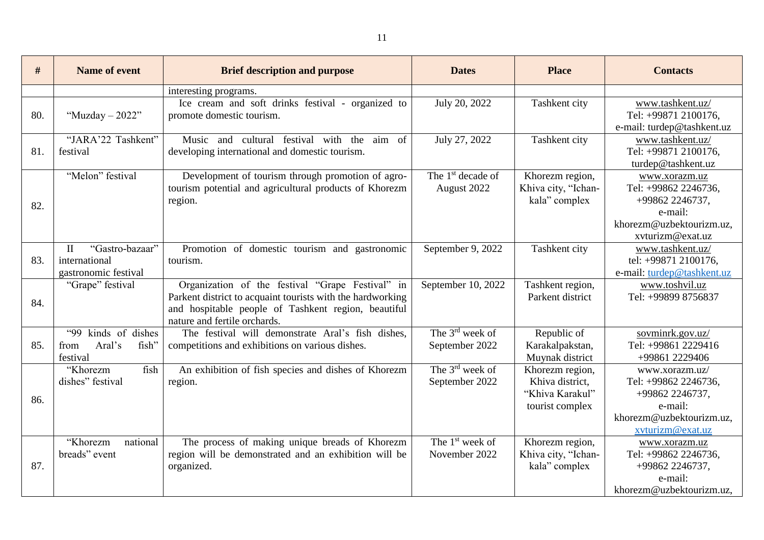| #   | <b>Name of event</b>                                                     | <b>Brief description and purpose</b>                                                                                                                                                                  | <b>Dates</b>                                  | <b>Place</b>                                                             | <b>Contacts</b>                                                                                                      |
|-----|--------------------------------------------------------------------------|-------------------------------------------------------------------------------------------------------------------------------------------------------------------------------------------------------|-----------------------------------------------|--------------------------------------------------------------------------|----------------------------------------------------------------------------------------------------------------------|
|     |                                                                          | interesting programs.                                                                                                                                                                                 |                                               |                                                                          |                                                                                                                      |
| 80. | "Muzday $-2022"$                                                         | Ice cream and soft drinks festival - organized to<br>promote domestic tourism.                                                                                                                        | July 20, 2022                                 | Tashkent city                                                            | www.tashkent.uz/<br>Tel: +99871 2100176,<br>e-mail: turdep@tashkent.uz                                               |
| 81. | "JARA'22 Tashkent"<br>festival                                           | Music and cultural festival with the aim of<br>developing international and domestic tourism.                                                                                                         | July 27, 2022                                 | Tashkent city                                                            | www.tashkent.uz/<br>Tel: +99871 2100176,<br>turdep@tashkent.uz                                                       |
| 82. | "Melon" festival                                                         | Development of tourism through promotion of agro-<br>tourism potential and agricultural products of Khorezm<br>region.                                                                                | The 1 <sup>st</sup> decade of<br>August 2022  | Khorezm region,<br>Khiva city, "Ichan-<br>kala" complex                  | www.xorazm.uz<br>Tel: +99862 2246736,<br>+99862 2246737,<br>e-mail:<br>khorezm@uzbektourizm.uz.<br>xvturizm@exat.uz  |
| 83. | "Gastro-bazaar"<br>$\mathbf{I}$<br>international<br>gastronomic festival | Promotion of domestic tourism and gastronomic<br>tourism.                                                                                                                                             | September 9, 2022                             | Tashkent city                                                            | www.tashkent.uz/<br>tel: +99871 2100176,<br>e-mail: turdep@tashkent.uz                                               |
| 84. | "Grape" festival                                                         | Organization of the festival "Grape Festival" in<br>Parkent district to acquaint tourists with the hardworking<br>and hospitable people of Tashkent region, beautiful<br>nature and fertile orchards. | September 10, 2022                            | Tashkent region,<br>Parkent district                                     | www.toshvil.uz<br>Tel: +99899 8756837                                                                                |
| 85. | kinds of dishes<br><b>"99</b><br>Aral's<br>fish"<br>from<br>festival     | The festival will demonstrate Aral's fish dishes,<br>competitions and exhibitions on various dishes.                                                                                                  | The $3^{\text{rd}}$ week of<br>September 2022 | Republic of<br>Karakalpakstan,<br>Muynak district                        | sovminrk.gov.uz/<br>Tel: +99861 2229416<br>+99861 2229406                                                            |
| 86. | fish<br>"Khorezm<br>dishes" festival                                     | An exhibition of fish species and dishes of Khorezm<br>region.                                                                                                                                        | The $3^{rd}$ week of<br>September 2022        | Khorezm region,<br>Khiva district,<br>"Khiva Karakul"<br>tourist complex | www.xorazm.uz/<br>Tel: +99862 2246736,<br>+99862 2246737,<br>e-mail:<br>khorezm@uzbektourizm.uz.<br>xvturizm@exat.uz |
| 87. | national<br>"Khorezm<br>breads" event                                    | The process of making unique breads of Khorezm<br>region will be demonstrated and an exhibition will be<br>organized.                                                                                 | The $1st$ week of<br>November 2022            | Khorezm region,<br>Khiva city, "Ichan-<br>kala" complex                  | www.xorazm.uz<br>Tel: +99862 2246736,<br>+99862 2246737,<br>e-mail:<br>khorezm@uzbektourizm.uz,                      |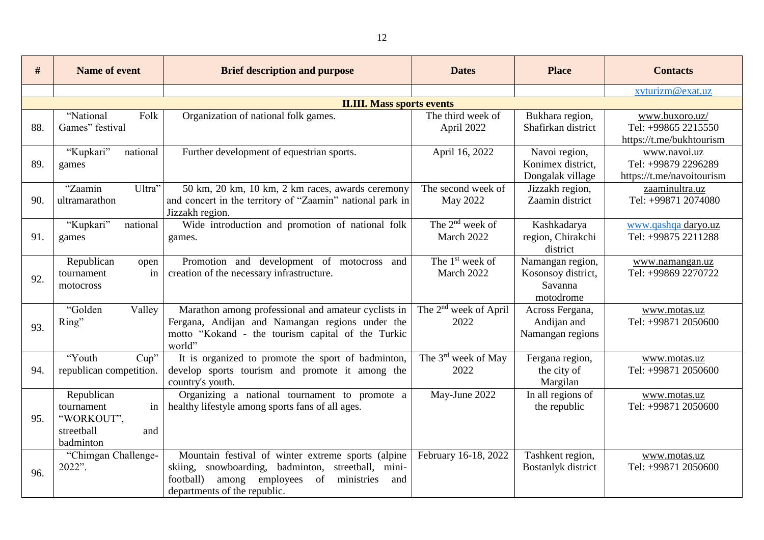| #   | <b>Name of event</b>                                                           | <b>Brief description and purpose</b>                                                                                                                                                                      | <b>Dates</b>                              | <b>Place</b>                                                   | <b>Contacts</b>                                                   |
|-----|--------------------------------------------------------------------------------|-----------------------------------------------------------------------------------------------------------------------------------------------------------------------------------------------------------|-------------------------------------------|----------------------------------------------------------------|-------------------------------------------------------------------|
|     |                                                                                |                                                                                                                                                                                                           |                                           |                                                                | xvturizm@exat.uz                                                  |
|     |                                                                                | <b>II.III. Mass sports events</b>                                                                                                                                                                         |                                           |                                                                |                                                                   |
| 88. | "National<br>Folk<br>Games" festival                                           | Organization of national folk games.                                                                                                                                                                      | The third week of<br>April 2022           | Bukhara region,<br>Shafirkan district                          | www.buxoro.uz/<br>Tel: +99865 2215550<br>https://t.me/bukhtourism |
| 89. | "Kupkari"<br>national<br>games                                                 | Further development of equestrian sports.                                                                                                                                                                 | April 16, 2022                            | Navoi region,<br>Konimex district,<br>Dongalak village         | www.navoi.uz<br>Tel: +99879 2296289<br>https://t.me/navoitourism  |
| 90. | "Zaamin<br>Ultra"<br>ultramarathon                                             | 50 km, 20 km, 10 km, 2 km races, awards ceremony<br>and concert in the territory of "Zaamin" national park in<br>Jizzakh region.                                                                          | The second week of<br>May 2022            | Jizzakh region,<br>Zaamin district                             | zaaminultra.uz<br>Tel: +99871 2074080                             |
| 91. | "Kupkari"<br>national<br>games                                                 | Wide introduction and promotion of national folk<br>games.                                                                                                                                                | The $2^{nd}$ week of<br>March 2022        | Kashkadarya<br>region, Chirakchi<br>district                   | www.qashqa daryo.uz<br>Tel: +99875 2211288                        |
| 92. | Republican<br>open<br>tournament<br>in<br>motocross                            | Promotion and development of motocross<br>and<br>creation of the necessary infrastructure.                                                                                                                | The 1 <sup>st</sup> week of<br>March 2022 | Namangan region,<br>Kosonsoy district,<br>Savanna<br>motodrome | www.namangan.uz<br>Tel: +99869 2270722                            |
| 93. | "Golden<br>Valley<br>Ring"                                                     | Marathon among professional and amateur cyclists in<br>Fergana, Andijan and Namangan regions under the<br>motto "Kokand - the tourism capital of the Turkic<br>world"                                     | The 2 <sup>nd</sup> week of April<br>2022 | Across Fergana,<br>Andijan and<br>Namangan regions             | www.motas.uz<br>Tel: +99871 2050600                               |
| 94. | "Youth<br>Cup''<br>republican competition.                                     | It is organized to promote the sport of badminton,<br>develop sports tourism and promote it among the<br>country's youth.                                                                                 | The $3^{rd}$ week of May<br>2022          | Fergana region,<br>the city of<br>Margilan                     | www.motas.uz<br>Tel: +99871 2050600                               |
| 95. | Republican<br>tournament<br>in<br>"WORKOUT",<br>streetball<br>and<br>badminton | Organizing a national tournament to promote a<br>healthy lifestyle among sports fans of all ages.                                                                                                         | May-June 2022                             | In all regions of<br>the republic                              | www.motas.uz<br>Tel: +99871 2050600                               |
| 96. | "Chimgan Challenge-<br>2022".                                                  | Mountain festival of winter extreme sports (alpine<br>skiing, snowboarding, badminton,<br>streetball, mini-<br>employees<br>of<br>football)<br>among<br>ministries<br>and<br>departments of the republic. | February 16-18, 2022                      | Tashkent region,<br>Bostanlyk district                         | www.motas.uz<br>Tel: +99871 2050600                               |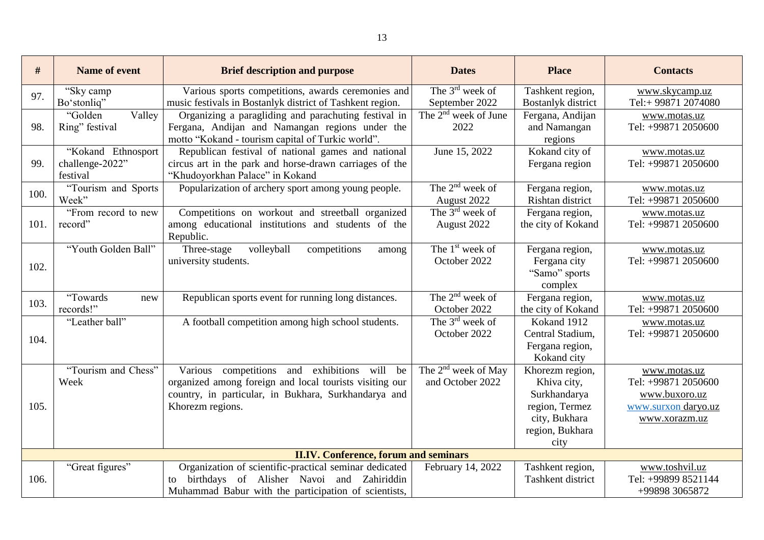| #                                            | Name of event                                     | <b>Brief description and purpose</b>                                                                                                                                                | <b>Dates</b>                                        | <b>Place</b>                                                                                                 | <b>Contacts</b>                                                                              |  |
|----------------------------------------------|---------------------------------------------------|-------------------------------------------------------------------------------------------------------------------------------------------------------------------------------------|-----------------------------------------------------|--------------------------------------------------------------------------------------------------------------|----------------------------------------------------------------------------------------------|--|
| 97.                                          | "Sky camp<br>Bo'stonliq"                          | Various sports competitions, awards ceremonies and<br>music festivals in Bostanlyk district of Tashkent region.                                                                     | The $3^{\text{rd}}$ week of<br>September 2022       | Tashkent region,<br><b>Bostanlyk</b> district                                                                | www.skycamp.uz<br>Tel:+99871 2074080                                                         |  |
| 98.                                          | "Golden"<br>Valley<br>Ring" festival              | Organizing a paragliding and parachuting festival in<br>Fergana, Andijan and Namangan regions under the<br>motto "Kokand - tourism capital of Turkic world".                        | The 2 <sup>nd</sup> week of June<br>2022            | Fergana, Andijan<br>and Namangan<br>regions                                                                  | www.motas.uz<br>Tel: +99871 2050600                                                          |  |
| 99.                                          | "Kokand Ethnosport<br>challenge-2022"<br>festival | Republican festival of national games and national<br>circus art in the park and horse-drawn carriages of the<br>"Khudoyorkhan Palace" in Kokand                                    | June 15, 2022                                       | Kokand city of<br>Fergana region                                                                             | www.motas.uz<br>Tel: +99871 2050600                                                          |  |
| 100.                                         | "Tourism and Sports<br>Week"                      | Popularization of archery sport among young people.                                                                                                                                 | The $2^{nd}$ week of<br>August 2022                 | Fergana region,<br>Rishtan district                                                                          | www.motas.uz<br>Tel: +99871 2050600                                                          |  |
| 101.                                         | "From record to new<br>record"                    | Competitions on workout and streetball organized<br>among educational institutions and students of the<br>Republic.                                                                 | The $3^{\text{rd}}$ week of<br>August 2022          | Fergana region,<br>the city of Kokand                                                                        | www.motas.uz<br>Tel: +99871 2050600                                                          |  |
| 102.                                         | "Youth Golden Ball"                               | volleyball<br>Three-stage<br>competitions<br>among<br>university students.                                                                                                          | The 1 <sup>st</sup> week of<br>October 2022         | Fergana region,<br>Fergana city<br>"Samo" sports<br>complex                                                  | www.motas.uz<br>Tel: +99871 2050600                                                          |  |
| 103.                                         | "Towards<br>new<br>records!"                      | Republican sports event for running long distances.                                                                                                                                 | The $2nd$ week of<br>October 2022                   | Fergana region,<br>the city of Kokand                                                                        | www.motas.uz<br>Tel: +99871 2050600                                                          |  |
| 104.                                         | "Leather ball"                                    | A football competition among high school students.                                                                                                                                  | The $3rd$ week of<br>October 2022                   | Kokand 1912<br>Central Stadium,<br>Fergana region,<br>Kokand city                                            | www.motas.uz<br>Tel: +99871 2050600                                                          |  |
| 105.                                         | "Tourism and Chess"<br>Week                       | Various competitions and exhibitions will be<br>organized among foreign and local tourists visiting our<br>country, in particular, in Bukhara, Surkhandarya and<br>Khorezm regions. | The 2 <sup>nd</sup> week of May<br>and October 2022 | Khorezm region,<br>Khiva city,<br>Surkhandarya<br>region, Termez<br>city, Bukhara<br>region, Bukhara<br>city | www.motas.uz<br>Tel: +99871 2050600<br>www.buxoro.uz<br>www.surxon daryo.uz<br>www.xorazm.uz |  |
| <b>II.IV. Conference, forum and seminars</b> |                                                   |                                                                                                                                                                                     |                                                     |                                                                                                              |                                                                                              |  |
| 106.                                         | "Great figures"                                   | Organization of scientific-practical seminar dedicated<br>birthdays of Alisher Navoi and Zahiriddin<br>to<br>Muhammad Babur with the participation of scientists,                   | February 14, 2022                                   | Tashkent region,<br>Tashkent district                                                                        | www.toshvil.uz<br>Tel: +99899 8521144<br>+99898 3065872                                      |  |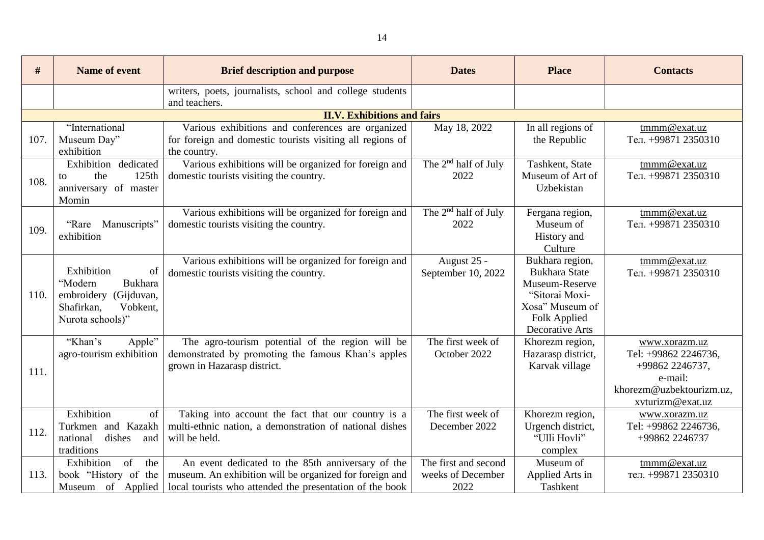| #    | <b>Name of event</b>      | <b>Brief description and purpose</b>                      | <b>Dates</b>                     | <b>Place</b>         | <b>Contacts</b>            |
|------|---------------------------|-----------------------------------------------------------|----------------------------------|----------------------|----------------------------|
|      |                           | writers, poets, journalists, school and college students  |                                  |                      |                            |
|      |                           | and teachers.                                             |                                  |                      |                            |
|      |                           | <b>II.V. Exhibitions and fairs</b>                        |                                  |                      |                            |
|      | "International            | Various exhibitions and conferences are organized         | May 18, 2022                     | In all regions of    | tmmm@exat.uz               |
| 107. | Museum Day"               | for foreign and domestic tourists visiting all regions of |                                  | the Republic         | Тел. +99871 2350310        |
|      | exhibition                | the country.                                              |                                  |                      |                            |
|      | Exhibition dedicated      | Various exhibitions will be organized for foreign and     | The 2 <sup>nd</sup> half of July | Tashkent, State      | tmmm@exat.uz               |
| 108. | the<br>125th<br>to        | domestic tourists visiting the country.                   | 2022                             | Museum of Art of     | Тел. +99871 2350310        |
|      | anniversary of master     |                                                           |                                  | Uzbekistan           |                            |
|      | Momin                     |                                                           |                                  |                      |                            |
|      |                           | Various exhibitions will be organized for foreign and     | The $2nd$ half of July           | Fergana region,      | tmmm@exat.uz               |
| 109. | "Rare<br>Manuscripts"     | domestic tourists visiting the country.                   | 2022                             | Museum of            | Тел. +99871 2350310        |
|      | exhibition                |                                                           |                                  | History and          |                            |
|      |                           |                                                           |                                  | Culture              |                            |
|      |                           | Various exhibitions will be organized for foreign and     | August 25 -                      | Bukhara region,      | tmmm@exat.uz               |
|      | Exhibition<br>of          | domestic tourists visiting the country.                   | September 10, 2022               | <b>Bukhara State</b> | Тел. +99871 2350310        |
|      | "Modern<br>Bukhara        |                                                           |                                  | Museum-Reserve       |                            |
| 110. | embroidery (Gijduvan,     |                                                           |                                  | "Sitorai Moxi-       |                            |
|      | Vobkent,<br>Shafirkan,    |                                                           |                                  | Xosa" Museum of      |                            |
|      | Nurota schools)"          |                                                           |                                  | Folk Applied         |                            |
|      | "Khan's                   |                                                           | The first week of                | Decorative Arts      |                            |
|      | Apple"                    | The agro-tourism potential of the region will be          | October 2022                     | Khorezm region,      | www.xorazm.uz              |
|      | agro-tourism exhibition   | demonstrated by promoting the famous Khan's apples        |                                  | Hazarasp district,   | Tel: +99862 2246736,       |
| 111. |                           | grown in Hazarasp district.                               |                                  | Karvak village       | +99862 2246737,<br>e-mail: |
|      |                           |                                                           |                                  |                      | khorezm@uzbektourizm.uz,   |
|      |                           |                                                           |                                  |                      | xvturizm@exat.uz           |
|      | Exhibition<br>of          | Taking into account the fact that our country is a        | The first week of                | Khorezm region,      | www.xorazm.uz              |
| 112. | Turkmen and Kazakh        | multi-ethnic nation, a demonstration of national dishes   | December 2022                    | Urgench district,    | Tel: +99862 2246736,       |
|      | dishes<br>national<br>and | will be held.                                             |                                  | "Ulli Hovli"         | +99862 2246737             |
|      | traditions                |                                                           |                                  | complex              |                            |
|      | of<br>Exhibition<br>the   | An event dedicated to the 85th anniversary of the         | The first and second             | Museum of            | tmmm@exat.uz               |
| 113. | book "History of the      | museum. An exhibition will be organized for foreign and   | weeks of December                | Applied Arts in      | тел. +99871 2350310        |
|      | Museum of Applied         | local tourists who attended the presentation of the book  | 2022                             | Tashkent             |                            |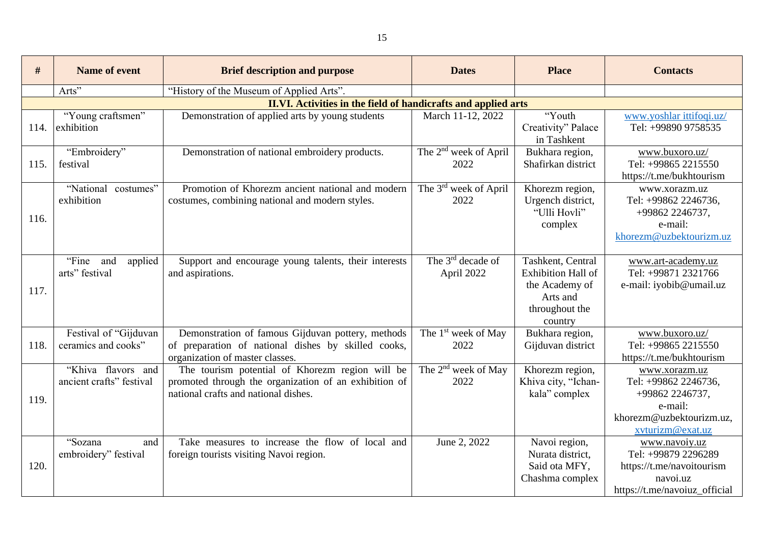| #    | <b>Name of event</b>                           | <b>Brief description and purpose</b>                                                                                                             | <b>Dates</b>                                | <b>Place</b>                                                                                       | <b>Contacts</b>                                                                                                     |
|------|------------------------------------------------|--------------------------------------------------------------------------------------------------------------------------------------------------|---------------------------------------------|----------------------------------------------------------------------------------------------------|---------------------------------------------------------------------------------------------------------------------|
|      | Arts"                                          | "History of the Museum of Applied Arts".                                                                                                         |                                             |                                                                                                    |                                                                                                                     |
|      |                                                | <b>II.VI. Activities in the field of handicrafts and applied arts</b>                                                                            |                                             |                                                                                                    |                                                                                                                     |
| 114. | "Young craftsmen"<br>exhibition                | Demonstration of applied arts by young students                                                                                                  | March 11-12, 2022                           | "Youth<br>Creativity" Palace<br>in Tashkent                                                        | www.yoshlar ittifoqi.uz/<br>Tel: +99890 9758535                                                                     |
| 115. | "Embroidery"<br>festival                       | Demonstration of national embroidery products.                                                                                                   | The 2 <sup>nd</sup> week of April<br>2022   | Bukhara region,<br>Shafirkan district                                                              | www.buxoro.uz/<br>Tel: +99865 2215550<br>https://t.me/bukhtourism                                                   |
| 116. | "National costumes"<br>exhibition              | Promotion of Khorezm ancient national and modern<br>costumes, combining national and modern styles.                                              | The 3 <sup>rd</sup> week of April<br>2022   | Khorezm region,<br>Urgench district,<br>"Ulli Hovli"<br>complex                                    | www.xorazm.uz<br>Tel: +99862 2246736,<br>+99862 2246737,<br>e-mail:<br>khorezm@uzbektourizm.uz                      |
| 117. | "Fine and<br>applied<br>arts" festival         | Support and encourage young talents, their interests<br>and aspirations.                                                                         | The 3 <sup>rd</sup> decade of<br>April 2022 | Tashkent, Central<br>Exhibition Hall of<br>the Academy of<br>Arts and<br>throughout the<br>country | www.art-academy.uz<br>Tel: +99871 2321766<br>e-mail: iyobib@umail.uz                                                |
| 118. | Festival of "Gijduvan<br>ceramics and cooks"   | Demonstration of famous Gijduvan pottery, methods<br>of preparation of national dishes by skilled cooks,<br>organization of master classes.      | The 1 <sup>st</sup> week of May<br>2022     | Bukhara region,<br>Gijduvan district                                                               | www.buxoro.uz/<br>Tel: +99865 2215550<br>https://t.me/bukhtourism                                                   |
| 119. | "Khiva flavors and<br>ancient crafts" festival | The tourism potential of Khorezm region will be<br>promoted through the organization of an exhibition of<br>national crafts and national dishes. | The 2 <sup>nd</sup> week of May<br>2022     | Khorezm region,<br>Khiva city, "Ichan-<br>kala" complex                                            | www.xorazm.uz<br>Tel: +99862 2246736,<br>+99862 2246737,<br>e-mail:<br>khorezm@uzbektourizm.uz,<br>xvturizm@exat.uz |
| 120. | "Sozana<br>and<br>embroidery" festival         | Take measures to increase the flow of local and<br>foreign tourists visiting Navoi region.                                                       | June 2, 2022                                | Navoi region,<br>Nurata district,<br>Said ota MFY,<br>Chashma complex                              | www.navoiy.uz<br>Tel: +99879 2296289<br>https://t.me/navoitourism<br>navoi.uz<br>https://t.me/navoiuz_official      |